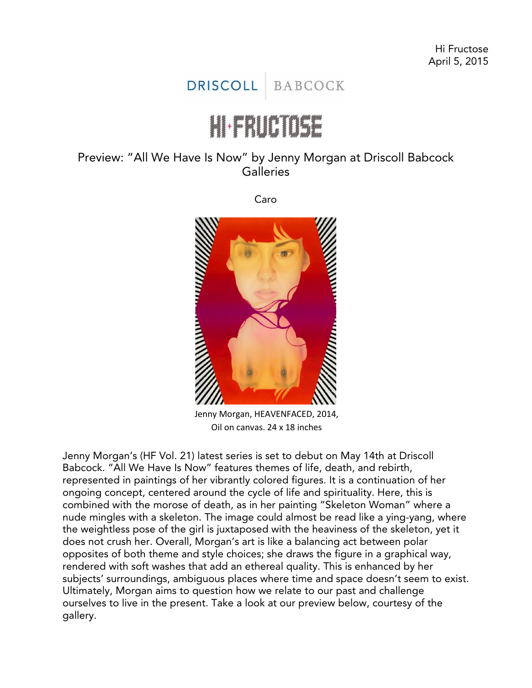## **DRISCOLL BABCOCK**

## $\begin{bmatrix} 1 & 1 & 1 \\ 1 & 1 & 1 \end{bmatrix} \begin{bmatrix} 1 & 1 & 1 \\ 1 & 1 & 1 \end{bmatrix} \begin{bmatrix} 1 & 1 & 1 \\ 1 & 1 & 1 \end{bmatrix}$

## Preview: "All We Have Is Now" by Jenny Morgan at Driscoll Babcock **Galleries**

Caro



Jenny Morgan, HEAVENFACED, 2014, Oil on canvas, 24 x 18 inches

Jenny Morgan's (HF Vol. 21) latest series is set to debut on May 14th at Driscoll Babcock. "All We Have Is Now" features themes of life, death, and rebirth, represented in paintings of her vibrantly colored figures. It is a continuation of her ongoing concept, centered around the cycle of life and spirituality. Here, this is combined with the morose of death, as in her painting "Skeleton Woman" where a nude mingles with a skeleton. The image could almost be read like a ying-yang, where the weightless pose of the girl is juxtaposed with the heaviness of the skeleton, yet it does not crush her. Overall, Morgan's art is like a balancing act between polar opposites of both theme and style choices; she draws the figure in a graphical way, rendered with soft washes that add an ethereal quality. This is enhanced by her subjects' surroundings, ambiguous places where time and space doesn't seem to exist. Ultimately, Morgan aims to question how we relate to our past and challenge ourselves to live in the present. Take a look at our preview below, courtesy of the gallery.